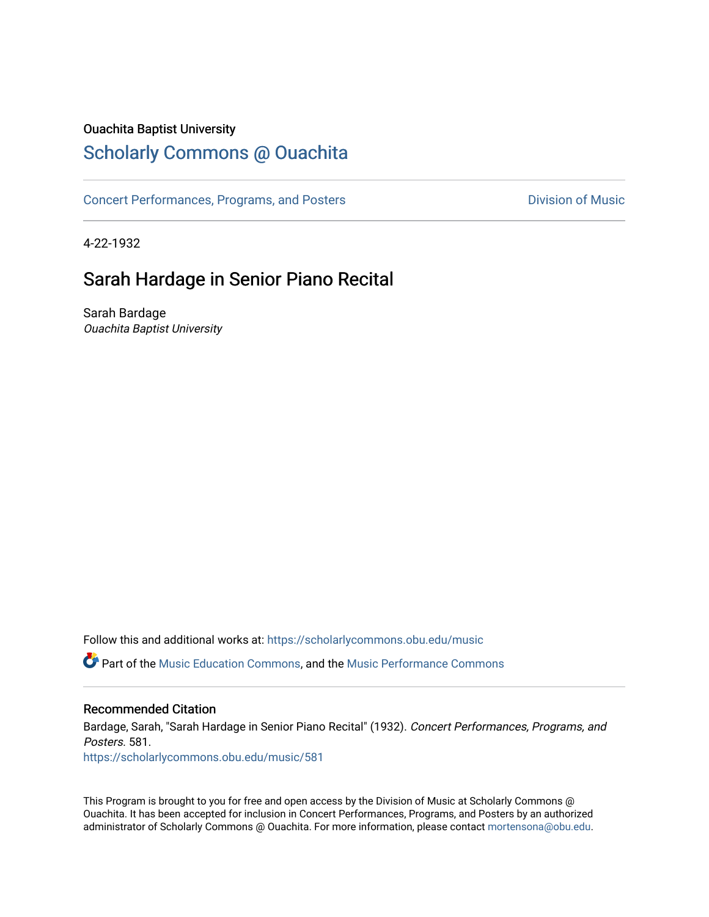## Ouachita Baptist University

# [Scholarly Commons @ Ouachita](https://scholarlycommons.obu.edu/)

[Concert Performances, Programs, and Posters](https://scholarlycommons.obu.edu/music) **Division of Music** Division of Music

4-22-1932

# Sarah Hardage in Senior Piano Recital

Sarah Bardage Ouachita Baptist University

Follow this and additional works at: [https://scholarlycommons.obu.edu/music](https://scholarlycommons.obu.edu/music?utm_source=scholarlycommons.obu.edu%2Fmusic%2F581&utm_medium=PDF&utm_campaign=PDFCoverPages) 

**C** Part of the [Music Education Commons,](http://network.bepress.com/hgg/discipline/1246?utm_source=scholarlycommons.obu.edu%2Fmusic%2F581&utm_medium=PDF&utm_campaign=PDFCoverPages) and the Music Performance Commons

### Recommended Citation

Bardage, Sarah, "Sarah Hardage in Senior Piano Recital" (1932). Concert Performances, Programs, and Posters. 581.

[https://scholarlycommons.obu.edu/music/581](https://scholarlycommons.obu.edu/music/581?utm_source=scholarlycommons.obu.edu%2Fmusic%2F581&utm_medium=PDF&utm_campaign=PDFCoverPages) 

This Program is brought to you for free and open access by the Division of Music at Scholarly Commons @ Ouachita. It has been accepted for inclusion in Concert Performances, Programs, and Posters by an authorized administrator of Scholarly Commons @ Ouachita. For more information, please contact [mortensona@obu.edu](mailto:mortensona@obu.edu).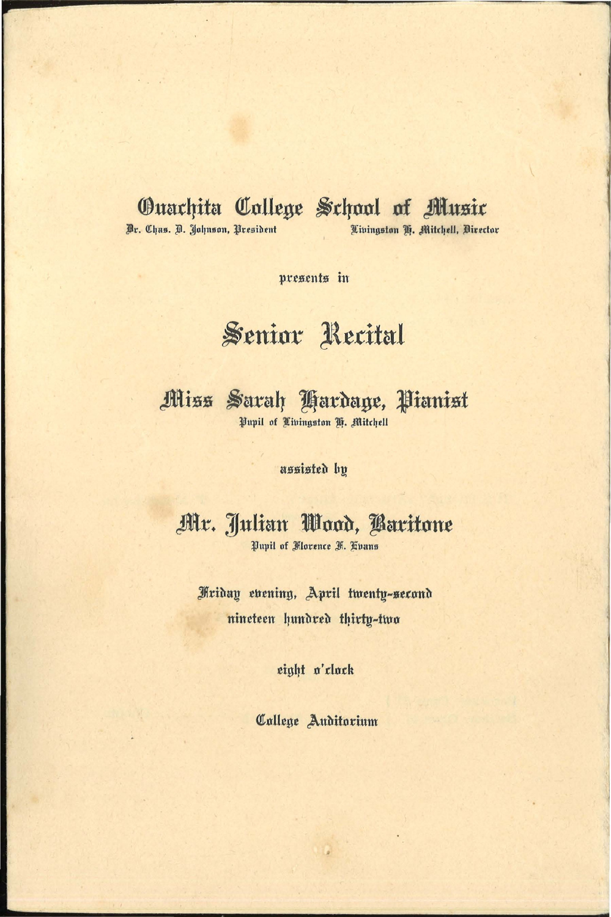# **Ouachita College School of Music**

Dr. Chas. D. Johnson, President

Livingston H. Mitchell, Director

presents in

# Senior Recital

Miss Sarah Hardage, Pianist Pupil of Tivingston H. Mitchell

assisted by

Mr. Julian Wood, Baritone Pupil of Florence F. Hvans

Friday evening, April twenty-second nineteen hundred thirty-two

eight o'clock

Callege Auditorium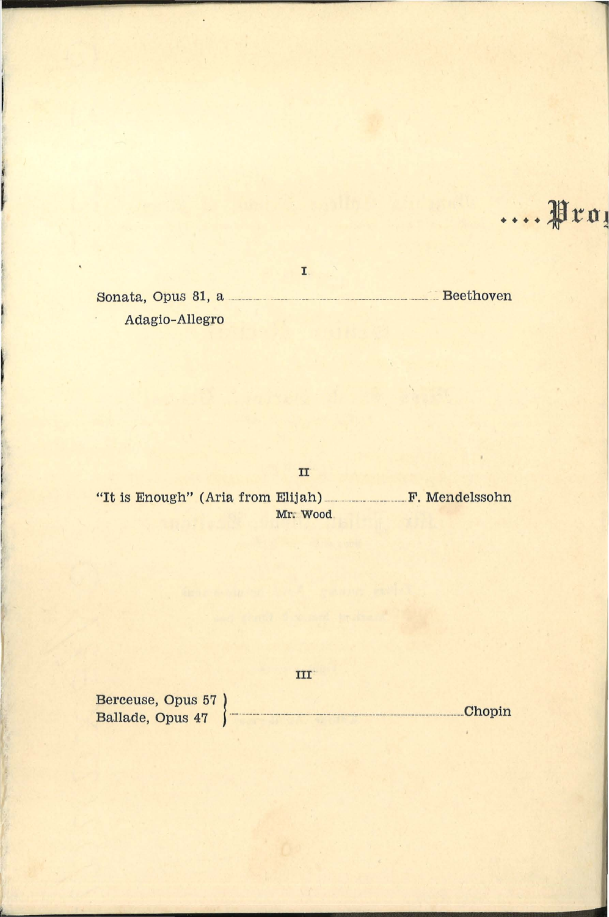**....** Jrn <sup>~</sup>

Sonata, Opus 81, a \_\_\_\_\_\_\_ \_\_\_\_\_\_\_\_\_ \_ ---------------- --------------------- ---Beethoven Adagio-Allegro

I

II

"It is Enough" (Aria from Elijah) \_\_ \_\_\_\_\_\_\_\_\_\_\_\_\_\_\_\_ \_\_\_ \_ F. Mendelssohn Mr. Wood

ur-

 $\begin{array}{c}\n \text{Berceuse, Opus 57}\n\\ \text{Ballade, Opus 47}\n\end{array}\n\right\}$ 

ÿ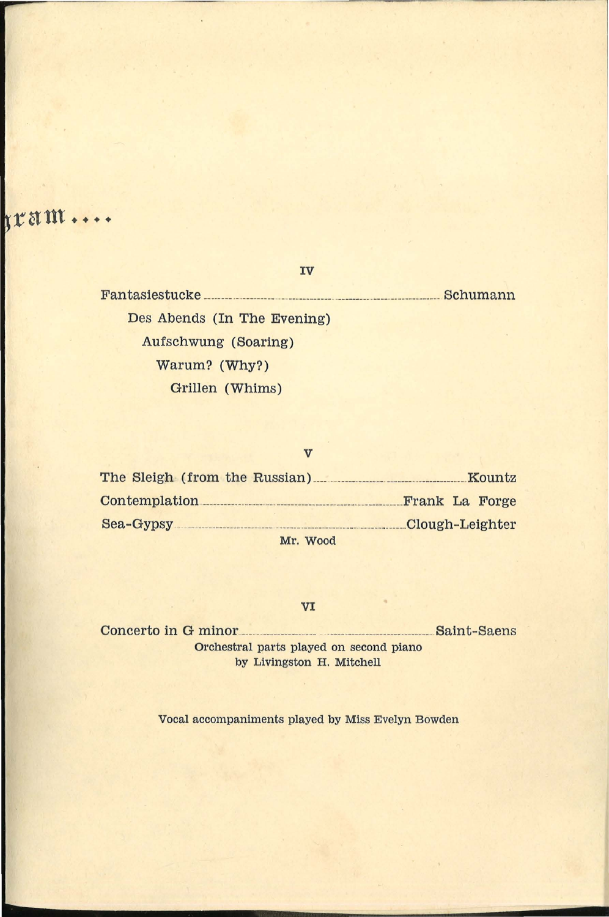**ram ....** 

Fantasies tucke \_\_\_\_\_\_\_\_ \_\_\_\_\_\_\_\_\_\_\_\_ \_\_\_\_\_\_\_ \_\_\_\_\_\_\_\_\_ \_\_\_ \_\_\_\_\_\_\_ \_\_\_\_ \_\_\_\_\_\_\_\_\_\_\_\_\_\_\_\_ Schumann Des Abends (In The Evening) Aufschwung (Soaring) Warum? (Why?) Grillen (Whims)

IV

#### v

| The Sleigh (from the Russian) | Kountz          |
|-------------------------------|-----------------|
| Contemplation                 | Frank La Forge  |
| Sea-Gypsy                     | Clough-Leighter |
| Mr. Wood                      |                 |

#### VI

Concerto in G minor<br>example of the Saint-Saens Orchestral parts played on second piano by Livingston H. Mitchell

Vocal accompaniments played by Miss Evelyn Bowden